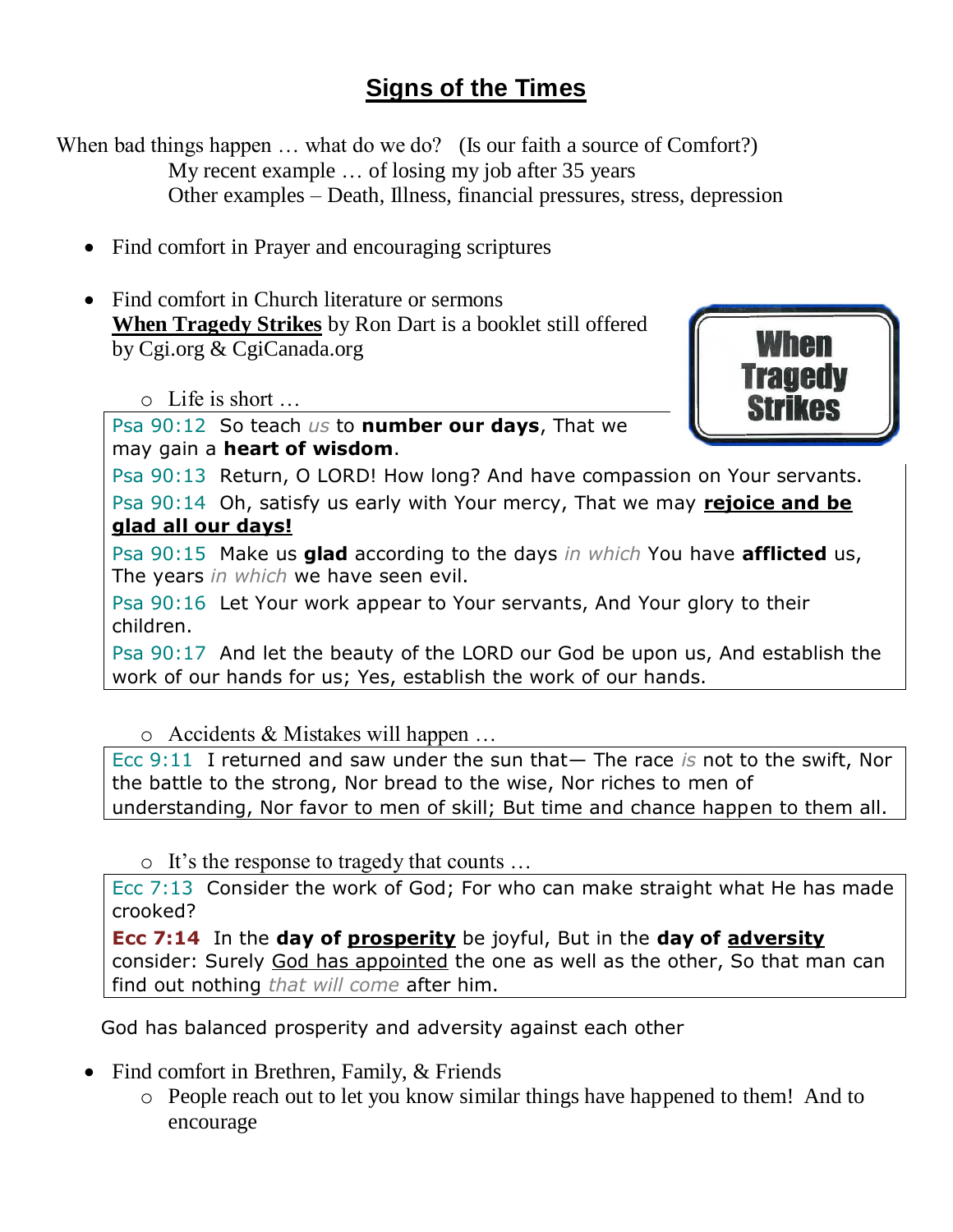# **Signs of the Times**

When bad things happen ... what do we do? (Is our faith a source of Comfort?) My recent example … of losing my job after 35 years Other examples – Death, Illness, financial pressures, stress, depression

- Find comfort in Prayer and encouraging scriptures
- Find comfort in Church literature or sermons **When Tragedy Strikes** by Ron Dart is a booklet still offered by Cgi.org & CgiCanada.org

o Life is short …

Psa 90:12 So teach *us* to **number our days**, That we



may gain a **heart of wisdom**.

Psa 90:13 Return, O LORD! How long? And have compassion on Your servants.

Psa 90:14 Oh, satisfy us early with Your mercy, That we may **rejoice and be glad all our days!**

Psa 90:15 Make us **glad** according to the days *in which* You have **afflicted** us, The years *in which* we have seen evil.

Psa 90:16 Let Your work appear to Your servants, And Your glory to their children.

Psa 90:17 And let the beauty of the LORD our God be upon us, And establish the work of our hands for us; Yes, establish the work of our hands.

o Accidents & Mistakes will happen …

Ecc 9:11 I returned and saw under the sun that— The race *is* not to the swift, Nor the battle to the strong, Nor bread to the wise, Nor riches to men of understanding, Nor favor to men of skill; But time and chance happen to them all.

o It's the response to tragedy that counts …

Ecc 7:13 Consider the work of God; For who can make straight what He has made crooked?

**Ecc 7:14** In the **day of prosperity** be joyful, But in the **day of adversity** consider: Surely God has appointed the one as well as the other, So that man can find out nothing *that will come* after him.

God has balanced prosperity and adversity against each other

- Find comfort in Brethren, Family, & Friends
	- o People reach out to let you know similar things have happened to them! And to encourage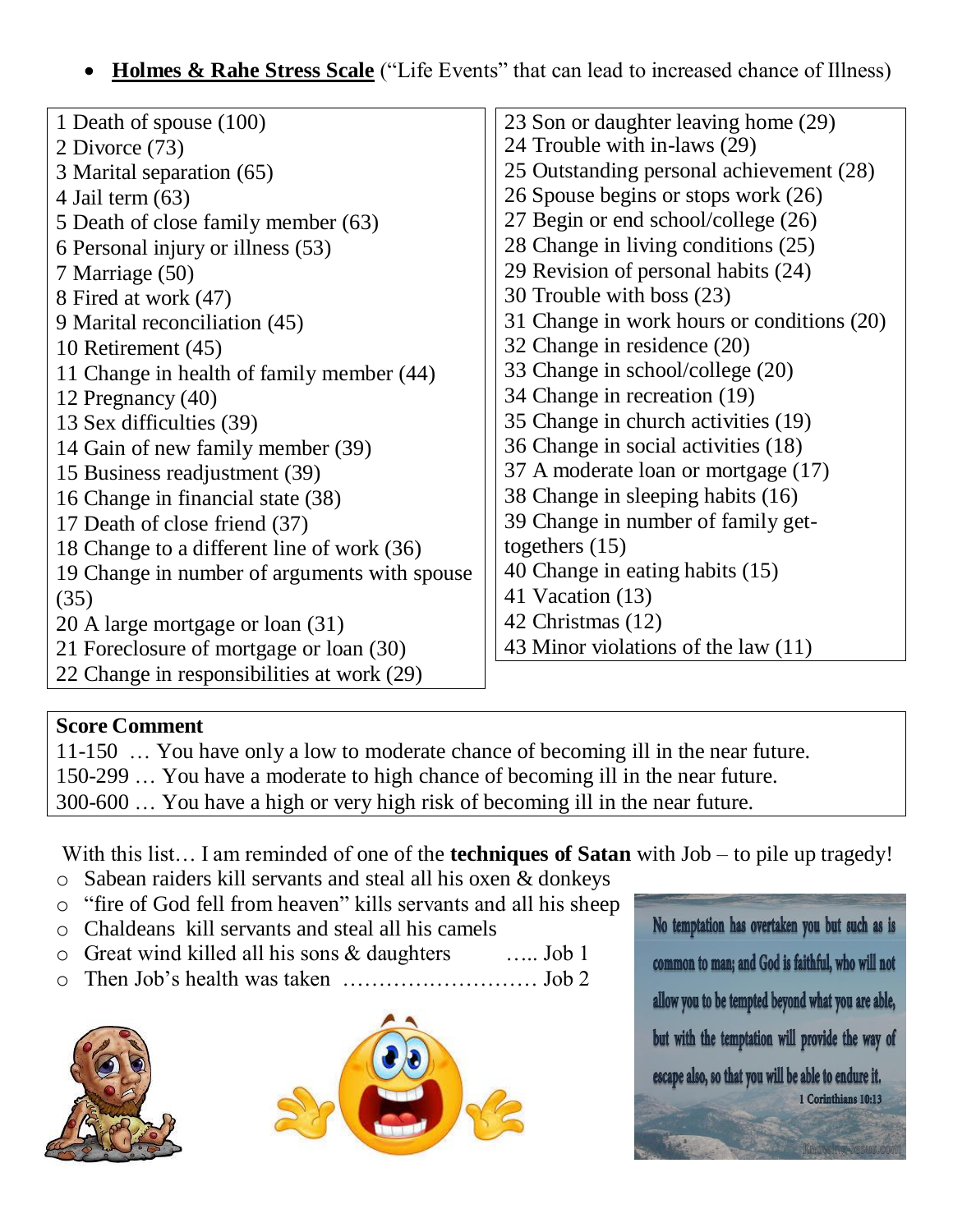## **Holmes & Rahe Stress Scale** ("Life Events" that can lead to increased chance of Illness)

| 1 Death of spouse (100)                      | 23 Son or daughter leaving home (29)       |
|----------------------------------------------|--------------------------------------------|
| 2 Divorce (73)                               | 24 Trouble with in-laws (29)               |
| 3 Marital separation (65)                    | 25 Outstanding personal achievement (28)   |
| 4 Jail term $(63)$                           | 26 Spouse begins or stops work (26)        |
| 5 Death of close family member (63)          | 27 Begin or end school/college (26)        |
| 6 Personal injury or illness (53)            | 28 Change in living conditions (25)        |
| 7 Marriage (50)                              | 29 Revision of personal habits (24)        |
| 8 Fired at work (47)                         | 30 Trouble with boss (23)                  |
| 9 Marital reconciliation (45)                | 31 Change in work hours or conditions (20) |
| 10 Retirement (45)                           | 32 Change in residence (20)                |
| 11 Change in health of family member (44)    | 33 Change in school/college (20)           |
| 12 Pregnancy (40)                            | 34 Change in recreation (19)               |
| 13 Sex difficulties (39)                     | 35 Change in church activities (19)        |
| 14 Gain of new family member (39)            | 36 Change in social activities (18)        |
| 15 Business readjustment (39)                | 37 A moderate loan or mortgage (17)        |
| 16 Change in financial state (38)            | 38 Change in sleeping habits (16)          |
| 17 Death of close friend (37)                | 39 Change in number of family get-         |
| 18 Change to a different line of work (36)   | togethers $(15)$                           |
| 19 Change in number of arguments with spouse | 40 Change in eating habits (15)            |
| (35)                                         | 41 Vacation (13)                           |
| 20 A large mortgage or loan (31)             | 42 Christmas (12)                          |
| 21 Foreclosure of mortgage or loan (30)      | 43 Minor violations of the law (11)        |
| 22 Change in responsibilities at work (29)   |                                            |

#### **Score Comment**

| 11-150  You have only a low to moderate chance of becoming ill in the near future. |
|------------------------------------------------------------------------------------|
| 150-299  You have a moderate to high chance of becoming ill in the near future.    |
| 300-600  You have a high or very high risk of becoming ill in the near future.     |

With this list... I am reminded of one of the **techniques of Satan** with Job – to pile up tragedy!

- o Sabean raiders kill servants and steal all his oxen & donkeys
- o "fire of God fell from heaven" kills servants and all his sheep
- o Chaldeans kill servants and steal all his camels
- o Great wind killed all his sons & daughters ….. Job 1
- o Then Job's health was taken ……………………… Job 2





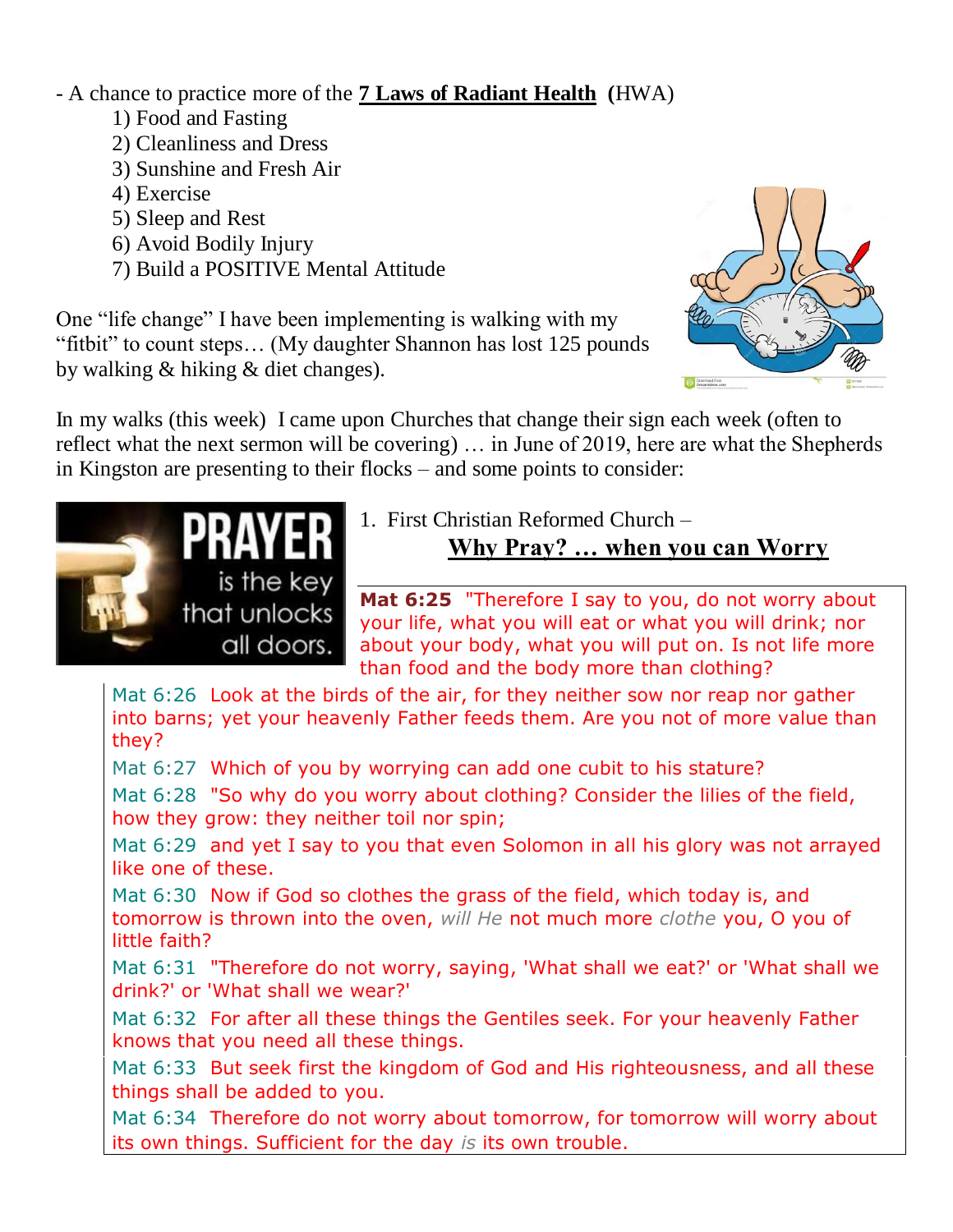- A chance to practice more of the **7 Laws of Radiant Health (**HWA)

- 1) Food and Fasting
- 2) Cleanliness and Dress
- 3) Sunshine and Fresh Air
- 4) Exercise
- 5) Sleep and Rest
- 6) Avoid Bodily Injury
- 7) Build a POSITIVE Mental Attitude

One "life change" I have been implementing is walking with my "fitbit" to count steps… (My daughter Shannon has lost 125 pounds by walking & hiking & diet changes).



In my walks (this week) I came upon Churches that change their sign each week (often to reflect what the next sermon will be covering) … in June of 2019, here are what the Shepherds in Kingston are presenting to their flocks – and some points to consider:



1. First Christian Reformed Church –

## **Why Pray? … when you can Worry**

**Mat 6:25** "Therefore I say to you, do not worry about your life, what you will eat or what you will drink; nor about your body, what you will put on. Is not life more than food and the body more than clothing?

Mat 6:26 Look at the birds of the air, for they neither sow nor reap nor gather into barns; yet your heavenly Father feeds them. Are you not of more value than they?

Mat 6:27 Which of you by worrying can add one cubit to his stature?

Mat 6:28 "So why do you worry about clothing? Consider the lilies of the field, how they grow: they neither toil nor spin;

Mat 6:29 and yet I say to you that even Solomon in all his glory was not arrayed like one of these.

Mat 6:30 Now if God so clothes the grass of the field, which today is, and tomorrow is thrown into the oven, *will He* not much more *clothe* you, O you of little faith?

Mat 6:31 "Therefore do not worry, saying, 'What shall we eat?' or 'What shall we drink?' or 'What shall we wear?'

Mat 6:32 For after all these things the Gentiles seek. For your heavenly Father knows that you need all these things.

Mat 6:33 But seek first the kingdom of God and His righteousness, and all these things shall be added to you.

Mat 6:34 Therefore do not worry about tomorrow, for tomorrow will worry about its own things. Sufficient for the day *is* its own trouble.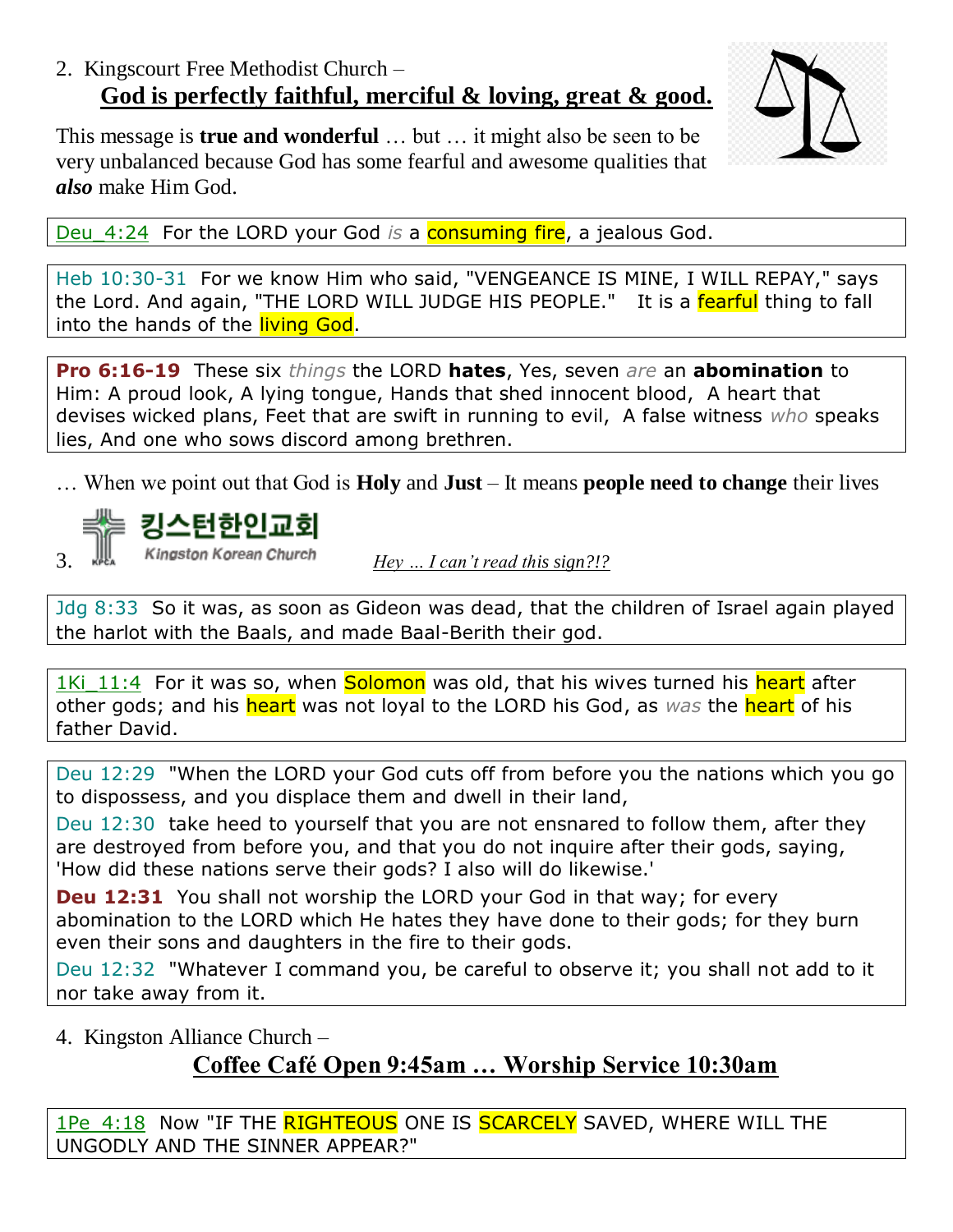## 2. Kingscourt Free Methodist Church – **God is perfectly faithful, merciful & loving, great & good.**

This message is **true and wonderful** … but … it might also be seen to be very unbalanced because God has some fearful and awesome qualities that *also* make Him God.

Deu\_4:24 For the LORD your God *is* a consuming fire, a jealous God.

Heb 10:30-31 For we know Him who said, "VENGEANCE IS MINE, I WILL REPAY," says the Lord. And again, "THE LORD WILL JUDGE HIS PEOPLE." It is a fearful thing to fall into the hands of the **living God**.

**Pro 6:16-19** These six *things* the LORD **hates**, Yes, seven *are* an **abomination** to Him: A proud look, A lying tongue, Hands that shed innocent blood, A heart that devises wicked plans, Feet that are swift in running to evil, A false witness *who* speaks lies, And one who sows discord among brethren.

… When we point out that God is **Holy** and **Just** – It means **people need to change** their lives



Jdg 8:33 So it was, as soon as Gideon was dead, that the children of Israel again played the harlot with the Baals, and made Baal-Berith their god.

1Ki 11:4 For it was so, when Solomon was old, that his wives turned his heart after other gods; and his heart was not loyal to the LORD his God, as *was* the heart of his father David.

Deu 12:29 "When the LORD your God cuts off from before you the nations which you go to dispossess, and you displace them and dwell in their land,

Deu 12:30 take heed to yourself that you are not ensnared to follow them, after they are destroyed from before you, and that you do not inquire after their gods, saying, 'How did these nations serve their gods? I also will do likewise.'

**Deu 12:31** You shall not worship the LORD your God in that way; for every abomination to the LORD which He hates they have done to their gods; for they burn even their sons and daughters in the fire to their gods.

Deu 12:32 "Whatever I command you, be careful to observe it; you shall not add to it nor take away from it.

4. Kingston Alliance Church –

## **Coffee Café Open 9:45am … Worship Service 10:30am**

1Pe\_4:18 Now "IF THE RIGHTEOUS ONE IS SCARCELY SAVED, WHERE WILL THE UNGODLY AND THE SINNER APPEAR?"